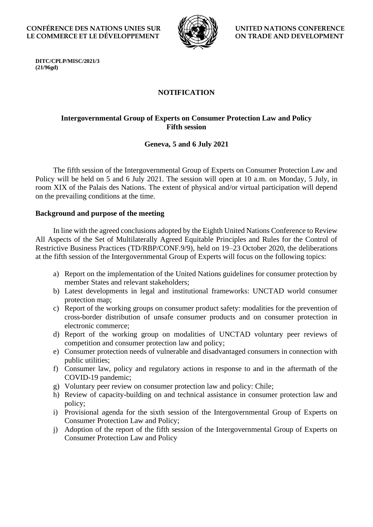**CONFÉRENCE DES NATIONS UNIES SUR LE COMMERCE ET LE DÉVELOPPEMENT**



**UNITED NATIONS CONFERENCE ON TRADE AND DEVELOPMENT**

**DITC/CPLP/MISC/2021/3 (21/96gd)**

# **NOTIFICATION**

# **Intergovernmental Group of Experts on Consumer Protection Law and Policy Fifth session**

## **Geneva, 5 and 6 July 2021**

The fifth session of the Intergovernmental Group of Experts on Consumer Protection Law and Policy will be held on 5 and 6 July 2021. The session will open at 10 a.m. on Monday, 5 July, in room XIX of the Palais des Nations. The extent of physical and/or virtual participation will depend on the prevailing conditions at the time.

### **Background and purpose of the meeting**

In line with the agreed conclusions adopted by the Eighth United Nations Conference to Review All Aspects of the Set of Multilaterally Agreed Equitable Principles and Rules for the Control of Restrictive Business Practices (TD/RBP/CONF.9/9), held on 19–23 October 2020, the deliberations at the fifth session of the Intergovernmental Group of Experts will focus on the following topics:

- a) Report on the implementation of the United Nations guidelines for consumer protection by member States and relevant stakeholders;
- b) Latest developments in legal and institutional frameworks: UNCTAD world consumer protection map;
- c) Report of the working groups on consumer product safety: modalities for the prevention of cross-border distribution of unsafe consumer products and on consumer protection in electronic commerce;
- d) Report of the working group on modalities of UNCTAD voluntary peer reviews of competition and consumer protection law and policy;
- e) Consumer protection needs of vulnerable and disadvantaged consumers in connection with public utilities;
- f) Consumer law, policy and regulatory actions in response to and in the aftermath of the COVID-19 pandemic;
- g) Voluntary peer review on consumer protection law and policy: Chile;
- h) Review of capacity-building on and technical assistance in consumer protection law and policy;
- i) Provisional agenda for the sixth session of the Intergovernmental Group of Experts on Consumer Protection Law and Policy;
- j) Adoption of the report of the fifth session of the Intergovernmental Group of Experts on Consumer Protection Law and Policy